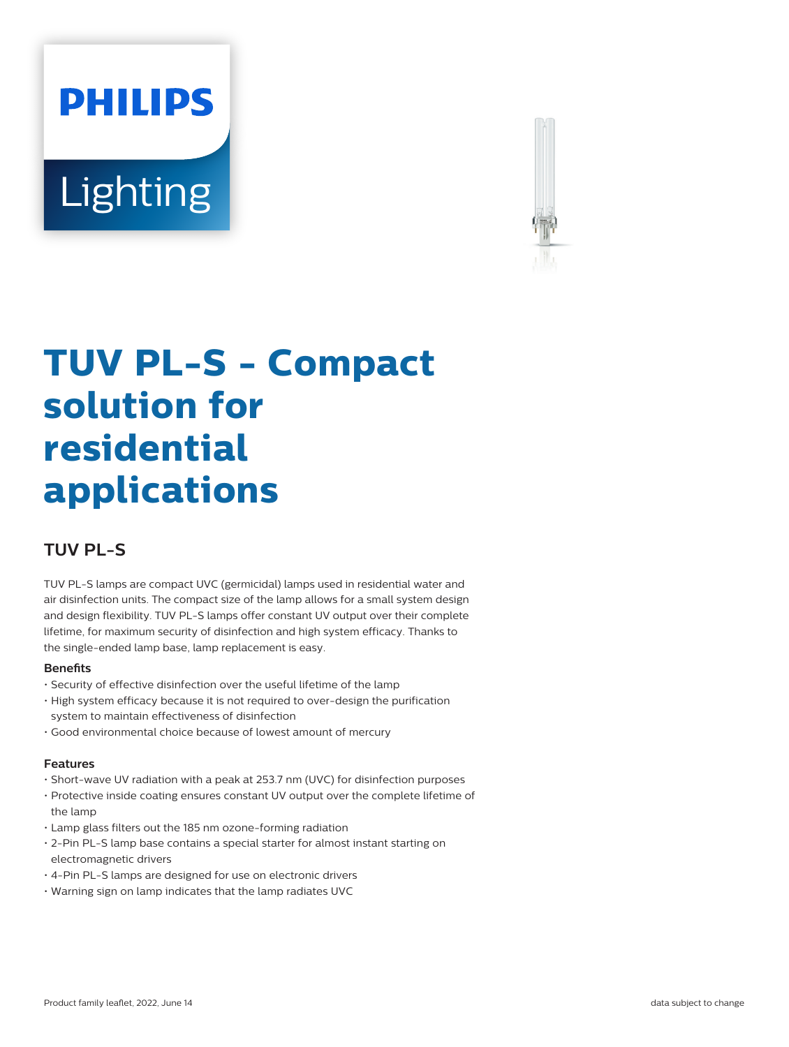# **PHILIPS** Lighting



## **TUV PL-S - Compact solution for residential applications**

### **TUV PL-S**

TUV PL-S lamps are compact UVC (germicidal) lamps used in residential water and air disinfection units. The compact size of the lamp allows for a small system design and design flexibility. TUV PL-S lamps offer constant UV output over their complete lifetime, for maximum security of disinfection and high system efficacy. Thanks to the single-ended lamp base, lamp replacement is easy.

#### **Benets**

- Security of effective disinfection over the useful lifetime of the lamp
- High system efficacy because it is not required to over-design the purification system to maintain effectiveness of disinfection
- Good environmental choice because of lowest amount of mercury

#### **Features**

- Short-wave UV radiation with a peak at 253.7 nm (UVC) for disinfection purposes
- Protective inside coating ensures constant UV output over the complete lifetime of the lamp
- Lamp glass filters out the 185 nm ozone-forming radiation
- 2-Pin PL-S lamp base contains a special starter for almost instant starting on electromagnetic drivers
- 4-Pin PL-S lamps are designed for use on electronic drivers
- Warning sign on lamp indicates that the lamp radiates UVC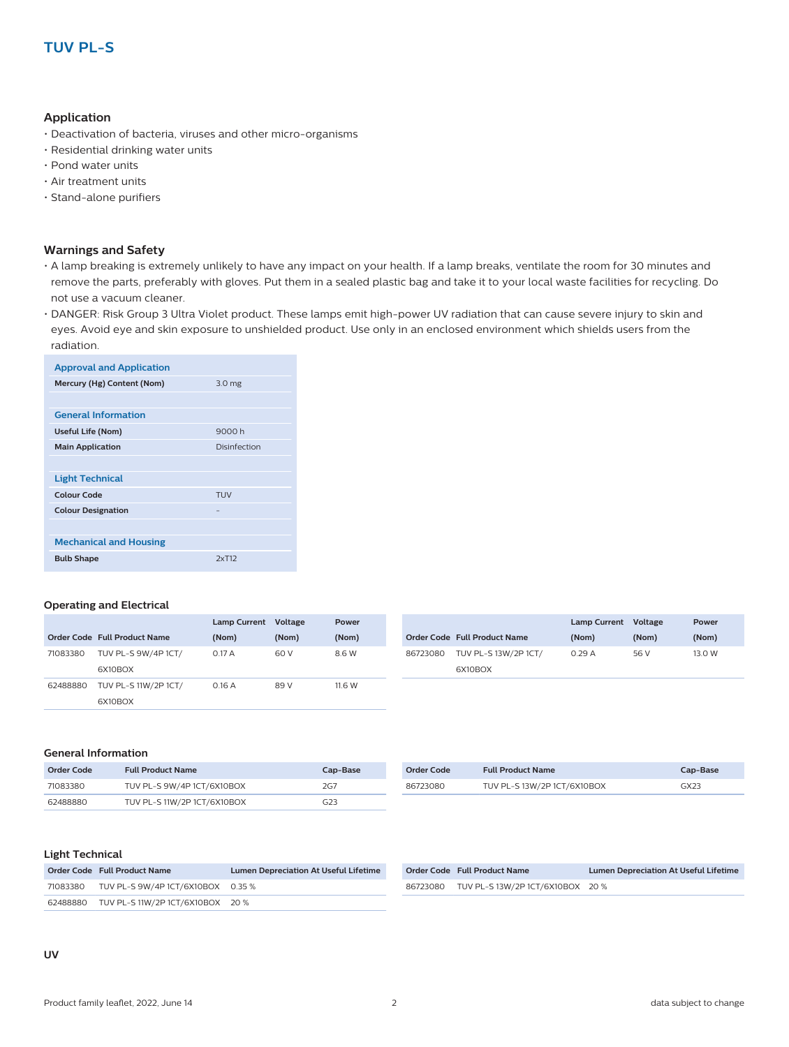#### **Application**

- Deactivation of bacteria, viruses and other micro-organisms
- Residential drinking water units
- Pond water units
- Air treatment units
- Stand-alone purifiers

#### **Warnings and Safety**

- A lamp breaking is extremely unlikely to have any impact on your health. If a lamp breaks, ventilate the room for 30 minutes and remove the parts, preferably with gloves. Put them in a sealed plastic bag and take it to your local waste facilities for recycling. Do not use a vacuum cleaner.
- DANGER: Risk Group 3 Ultra Violet product. These lamps emit high-power UV radiation that can cause severe injury to skin and eyes. Avoid eye and skin exposure to unshielded product. Use only in an enclosed environment which shields users from the radiation.

| <b>Approval and Application</b> |                   |
|---------------------------------|-------------------|
| Mercury (Hg) Content (Nom)      | 3.0 <sub>mg</sub> |
|                                 |                   |
| <b>General Information</b>      |                   |
| <b>Useful Life (Nom)</b>        | 9000 h            |
| <b>Main Application</b>         | Disinfection      |
|                                 |                   |
| <b>Light Technical</b>          |                   |
| Colour Code                     | <b>TUV</b>        |
| <b>Colour Designation</b>       |                   |
|                                 |                   |
| <b>Mechanical and Housing</b>   |                   |
| <b>Bulb Shape</b>               | 2xT12             |

#### **Operating and Electrical**

|          |                                 | Lamp Current Voltage |       | Power  |          |                                 | <b>Lamp Current</b> | Voltage |
|----------|---------------------------------|----------------------|-------|--------|----------|---------------------------------|---------------------|---------|
|          | Order Code Full Product Name    | (Nom)                | (Nom) | (Nom)  |          | Order Code Full Product Name    | (Nom)               | (Nom)   |
| 71083380 | TUV PL-S 9W/4P 1CT/<br>6X10BOX  | 0.17A                | 60 V  | 8.6 W  | 86723080 | TUV PL-S 13W/2P 1CT/<br>6X10BOX | 0.29A               | 56 V    |
| 62488880 | TUV PL-S 11W/2P 1CT/<br>6X10BOX | 0.16A                | 89 V  | 11.6 W |          |                                 |                     |         |

#### **General Information**

| Order Code | <b>Full Product Name</b>    | Cap-Base        |
|------------|-----------------------------|-----------------|
| 71083380   | TUV PL-S 9W/4P 1CT/6X10BOX  | 2G <sub>7</sub> |
| 62488880   | TUV PL-S 11W/2P 1CT/6X10BOX | G23             |

| Order Code | <b>Full Product Name</b>    | Cap-Base |
|------------|-----------------------------|----------|
| 86723080   | TUV PL-S 13W/2P 1CT/6X10BOX | GX23     |

#### **Light Technical**

| Order Code Full Product Name               | <b>Lumen Depreciation At Useful Lifetime</b> |
|--------------------------------------------|----------------------------------------------|
| 71083380 TUV PL-S 9W/4P 1CT/6X10BOX 0.35 % |                                              |
| 62488880 TUV PL-S 11W/2P 1CT/6X10BOX 20 %  |                                              |

| Order Code Full Product Name              | <b>Lumen Depreciation At Useful Lifetime</b> |
|-------------------------------------------|----------------------------------------------|
| 86723080 TUV PL-S 13W/2P 1CT/6X10BOX 20 % |                                              |